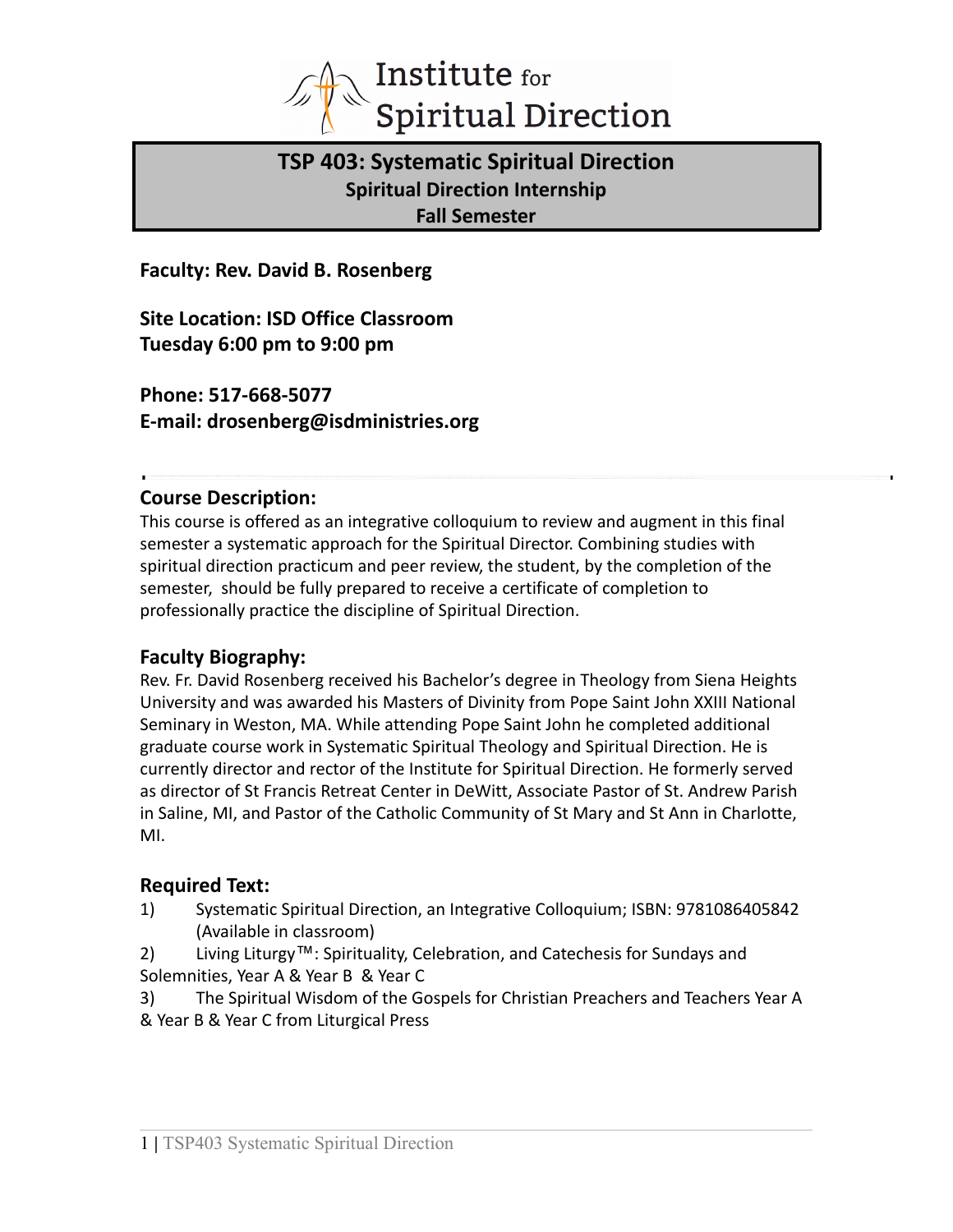

# **TSP 403: Systematic Spiritual Direction Spiritual Direction Internship Fall Semester**

**Faculty: Rev. David B. Rosenberg**

**Site Location: ISD Office Classroom Tuesday 6:00 pm to 9:00 pm**

**Phone: 517-668-5077 E-mail: drosenberg@isdministries.org**

## **Course Description:**

This course is offered as an integrative colloquium to review and augment in this final semester a systematic approach for the Spiritual Director. Combining studies with spiritual direction practicum and peer review, the student, by the completion of the semester, should be fully prepared to receive a certificate of completion to professionally practice the discipline of Spiritual Direction.

## **Faculty Biography:**

Rev. Fr. David Rosenberg received his Bachelor's degree in Theology from Siena Heights University and was awarded his Masters of Divinity from Pope Saint John XXIII National Seminary in Weston, MA. While attending Pope Saint John he completed additional graduate course work in Systematic Spiritual Theology and Spiritual Direction. He is currently director and rector of the Institute for Spiritual Direction. He formerly served as director of St Francis Retreat Center in DeWitt, Associate Pastor of St. Andrew Parish in Saline, MI, and Pastor of the Catholic Community of St Mary and St Ann in Charlotte, MI.

## **Required Text:**

- 1) Systematic Spiritual Direction, an Integrative Colloquium; ISBN: 9781086405842 (Available in classroom)
- 2) Living Liturgy™: Spirituality, Celebration, and Catechesis for Sundays and Solemnities, Year A & Year B & Year C
- 3) The Spiritual Wisdom of the Gospels for Christian Preachers and Teachers Year A & Year B & Year C from Liturgical Press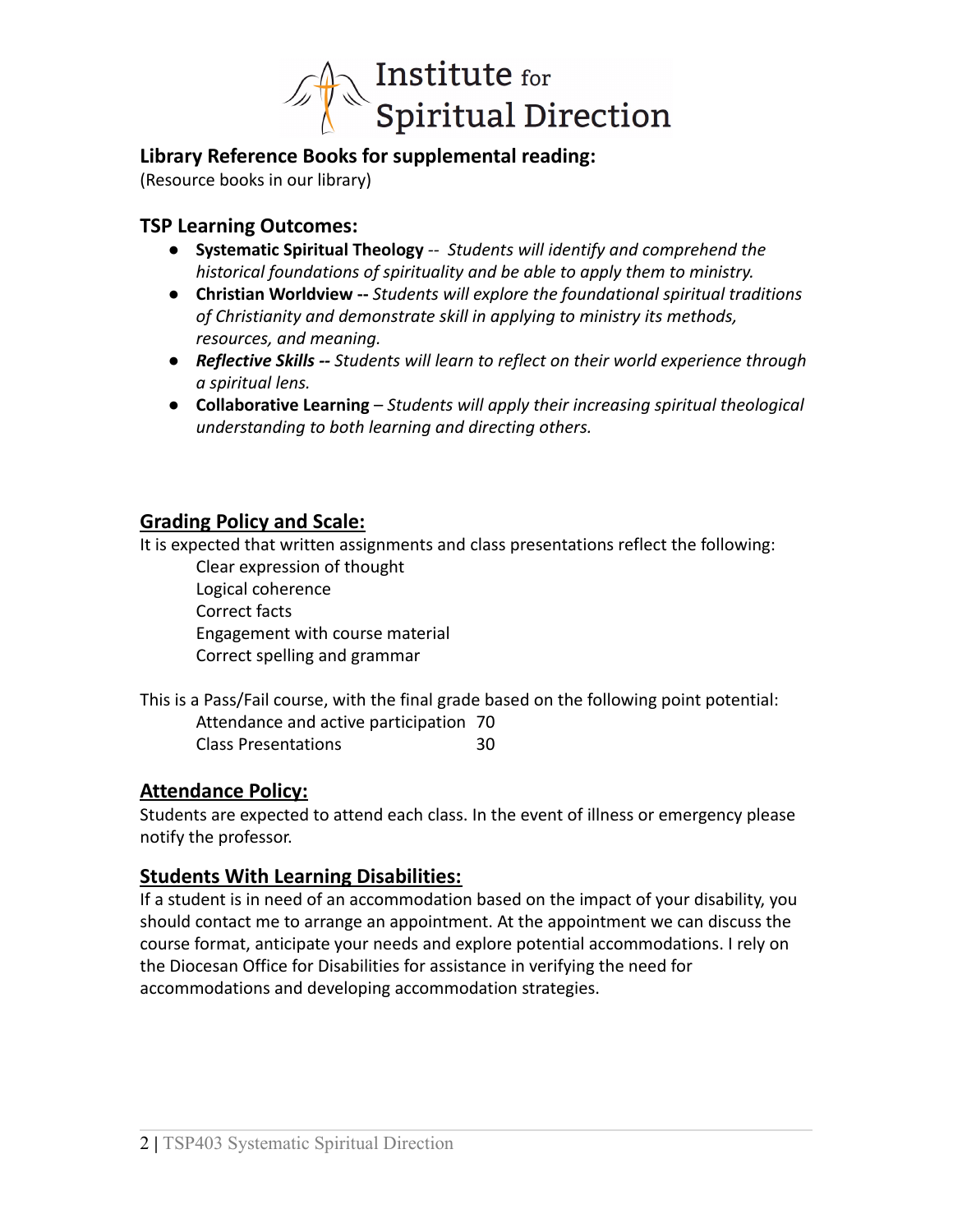

## **Library Reference Books for supplemental reading:**

(Resource books in our library)

## **TSP Learning Outcomes:**

- **Systematic Spiritual Theology** *-- Students will identify and comprehend the historical foundations of spirituality and be able to apply them to ministry.*
- **Christian Worldview --** *Students will explore the foundational spiritual traditions of Christianity and demonstrate skill in applying to ministry its methods, resources, and meaning.*
- *Reflective Skills -- Students will learn to reflect on their world experience through a spiritual lens.*
- **Collaborative Learning** *Students will apply their increasing spiritual theological understanding to both learning and directing others.*

## **Grading Policy and Scale:**

It is expected that written assignments and class presentations reflect the following:

Clear expression of thought Logical coherence Correct facts Engagement with course material Correct spelling and grammar

| This is a Pass/Fail course, with the final grade based on the following point potential: |    |
|------------------------------------------------------------------------------------------|----|
| Attendance and active participation 70                                                   |    |
| <b>Class Presentations</b>                                                               | 30 |

## **Attendance Policy:**

Students are expected to attend each class. In the event of illness or emergency please notify the professor.

## **Students With Learning Disabilities:**

If a student is in need of an accommodation based on the impact of your disability, you should contact me to arrange an appointment. At the appointment we can discuss the course format, anticipate your needs and explore potential accommodations. I rely on the Diocesan Office for Disabilities for assistance in verifying the need for accommodations and developing accommodation strategies.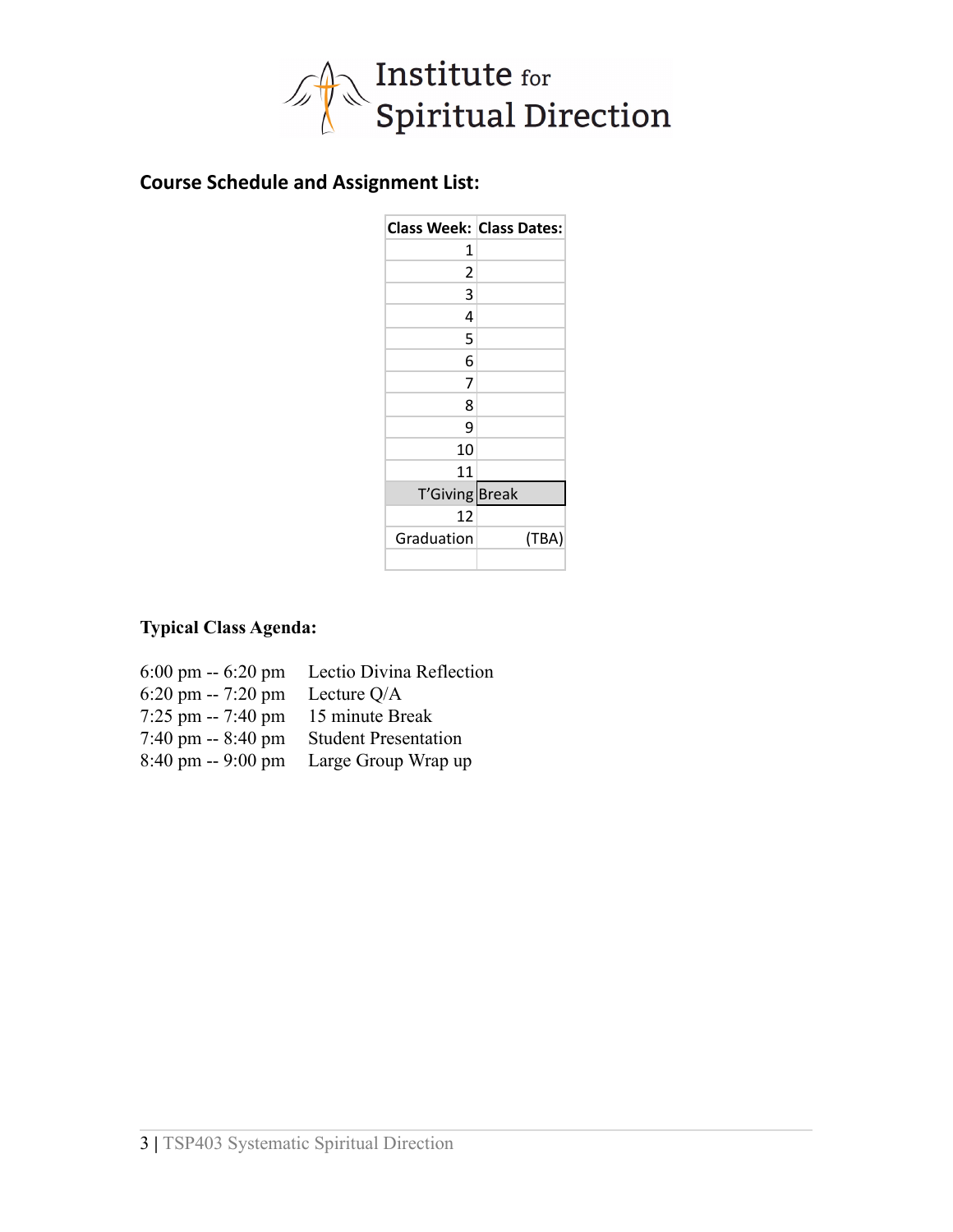

# **Course Schedule and Assignment List:**

| <b>Class Week: Class Dates:</b> |       |
|---------------------------------|-------|
| 1                               |       |
| 2                               |       |
| 3                               |       |
| 4                               |       |
| 5                               |       |
| 6                               |       |
| 7                               |       |
| 8                               |       |
| 9                               |       |
| 10                              |       |
| 11                              |       |
| T'Giving Break                  |       |
| 12                              |       |
| Graduation                      | (TBA) |
|                                 |       |

## **Typical Class Agenda:**

| $6:00 \text{ pm} - 6:20 \text{ pm}$ | Lectio Divina Reflection    |
|-------------------------------------|-----------------------------|
| $6:20 \text{ pm} - 7:20 \text{ pm}$ | Lecture Q/A                 |
| $7:25$ pm -- $7:40$ pm              | 15 minute Break             |
| $7:40 \text{ pm} - 8:40 \text{ pm}$ | <b>Student Presentation</b> |
| $8:40 \text{ pm} - 9:00 \text{ pm}$ | Large Group Wrap up         |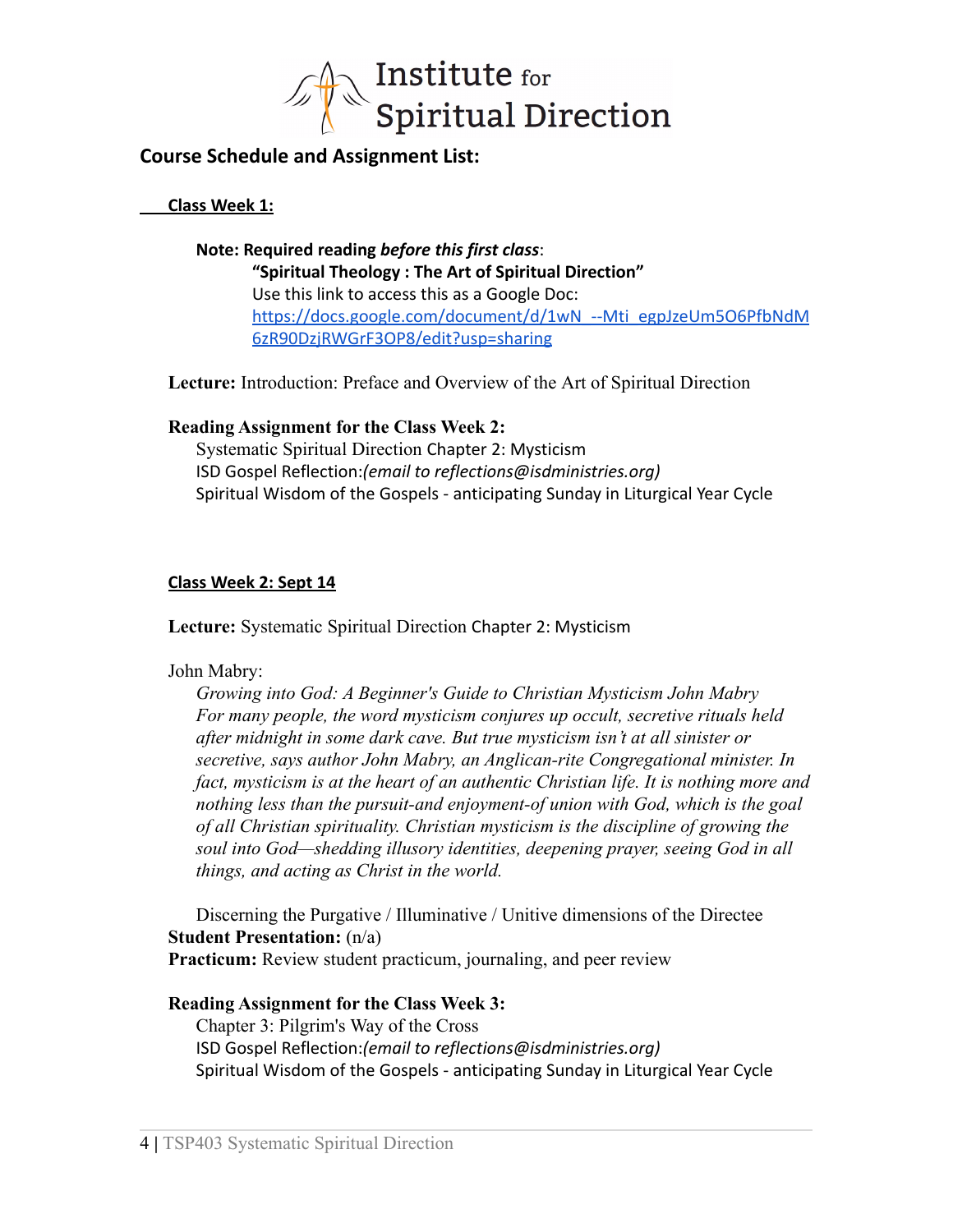

## **Course Schedule and Assignment List:**

#### **Class Week 1:**

**Note: Required reading** *before this first class*: **"Spiritual Theology : The Art of Spiritual Direction"** Use this link to access this as a Google Doc: [https://docs.google.com/document/d/1wN\\_--Mti\\_egpJzeUm5O6PfbNdM](https://docs.google.com/document/d/1wN_--Mti_egpJzeUm5O6PfbNdM6zR90DzjRWGrF3OP8/edit?usp=sharing) [6zR90DzjRWGrF3OP8/edit?usp=sharing](https://docs.google.com/document/d/1wN_--Mti_egpJzeUm5O6PfbNdM6zR90DzjRWGrF3OP8/edit?usp=sharing)

**Lecture:** Introduction: Preface and Overview of the Art of Spiritual Direction

### **Reading Assignment for the Class Week 2:**

Systematic Spiritual Direction Chapter 2: Mysticism ISD Gospel Reflection:*(email to reflections@isdministries.org)* Spiritual Wisdom of the Gospels - anticipating Sunday in Liturgical Year Cycle

### **Class Week 2: Sept 14**

**Lecture:** Systematic Spiritual Direction Chapter 2: Mysticism

#### John Mabry:

*Growing into God: A Beginner's Guide to Christian Mysticism John Mabry For many people, the word mysticism conjures up occult, secretive rituals held after midnight in some dark cave. But true mysticism isn't at all sinister or secretive, says author John Mabry, an Anglican-rite Congregational minister. In fact, mysticism is at the heart of an authentic Christian life. It is nothing more and nothing less than the pursuit-and enjoyment-of union with God, which is the goal of all Christian spirituality. Christian mysticism is the discipline of growing the soul into God—shedding illusory identities, deepening prayer, seeing God in all things, and acting as Christ in the world.*

Discerning the Purgative / Illuminative / Unitive dimensions of the Directee **Student Presentation:** (n/a) **Practicum:** Review student practicum, journaling, and peer review

#### **Reading Assignment for the Class Week 3:**

Chapter 3: Pilgrim's Way of the Cross ISD Gospel Reflection:*(email to reflections@isdministries.org)* Spiritual Wisdom of the Gospels - anticipating Sunday in Liturgical Year Cycle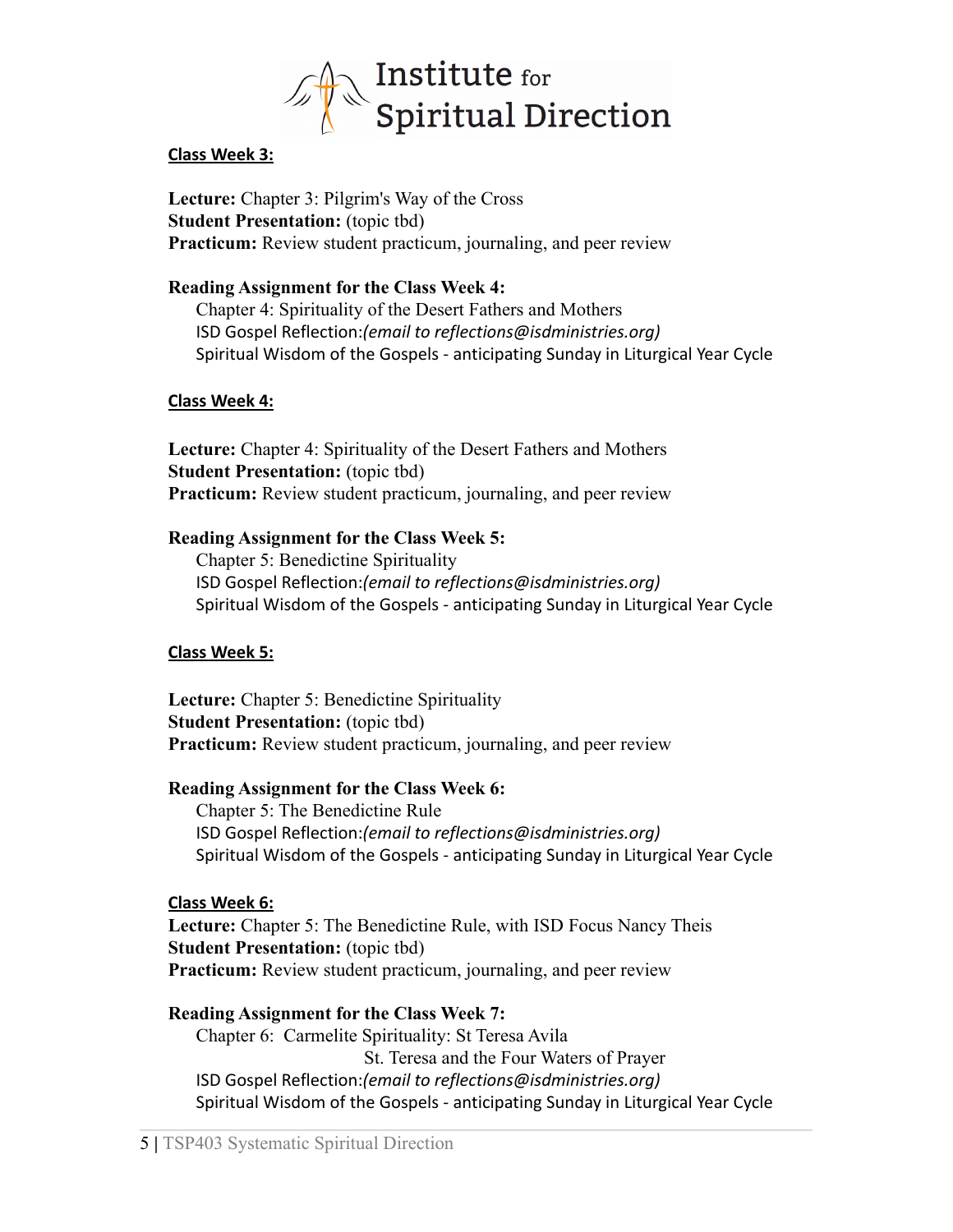

#### **Class Week 3:**

**Lecture:** Chapter 3: Pilgrim's Way of the Cross **Student Presentation:** (topic tbd) **Practicum:** Review student practicum, journaling, and peer review

#### **Reading Assignment for the Class Week 4:**

Chapter 4: Spirituality of the Desert Fathers and Mothers ISD Gospel Reflection:*(email to reflections@isdministries.org)* Spiritual Wisdom of the Gospels - anticipating Sunday in Liturgical Year Cycle

#### **Class Week 4:**

**Lecture:** Chapter 4: Spirituality of the Desert Fathers and Mothers **Student Presentation:** (topic tbd) **Practicum:** Review student practicum, journaling, and peer review

### **Reading Assignment for the Class Week 5:**

Chapter 5: Benedictine Spirituality ISD Gospel Reflection:*(email to reflections@isdministries.org)* Spiritual Wisdom of the Gospels - anticipating Sunday in Liturgical Year Cycle

#### **Class Week 5:**

**Lecture:** Chapter 5: Benedictine Spirituality **Student Presentation:** (topic tbd) **Practicum:** Review student practicum, journaling, and peer review

#### **Reading Assignment for the Class Week 6:**

Chapter 5: The Benedictine Rule ISD Gospel Reflection:*(email to reflections@isdministries.org)* Spiritual Wisdom of the Gospels - anticipating Sunday in Liturgical Year Cycle

#### **Class Week 6:**

**Lecture:** Chapter 5: The Benedictine Rule, with ISD Focus Nancy Theis **Student Presentation:** (topic tbd) **Practicum:** Review student practicum, journaling, and peer review

## **Reading Assignment for the Class Week 7:**

Chapter 6: Carmelite Spirituality: St Teresa Avila St. Teresa and the Four Waters of Prayer ISD Gospel Reflection:*(email to reflections@isdministries.org)* Spiritual Wisdom of the Gospels - anticipating Sunday in Liturgical Year Cycle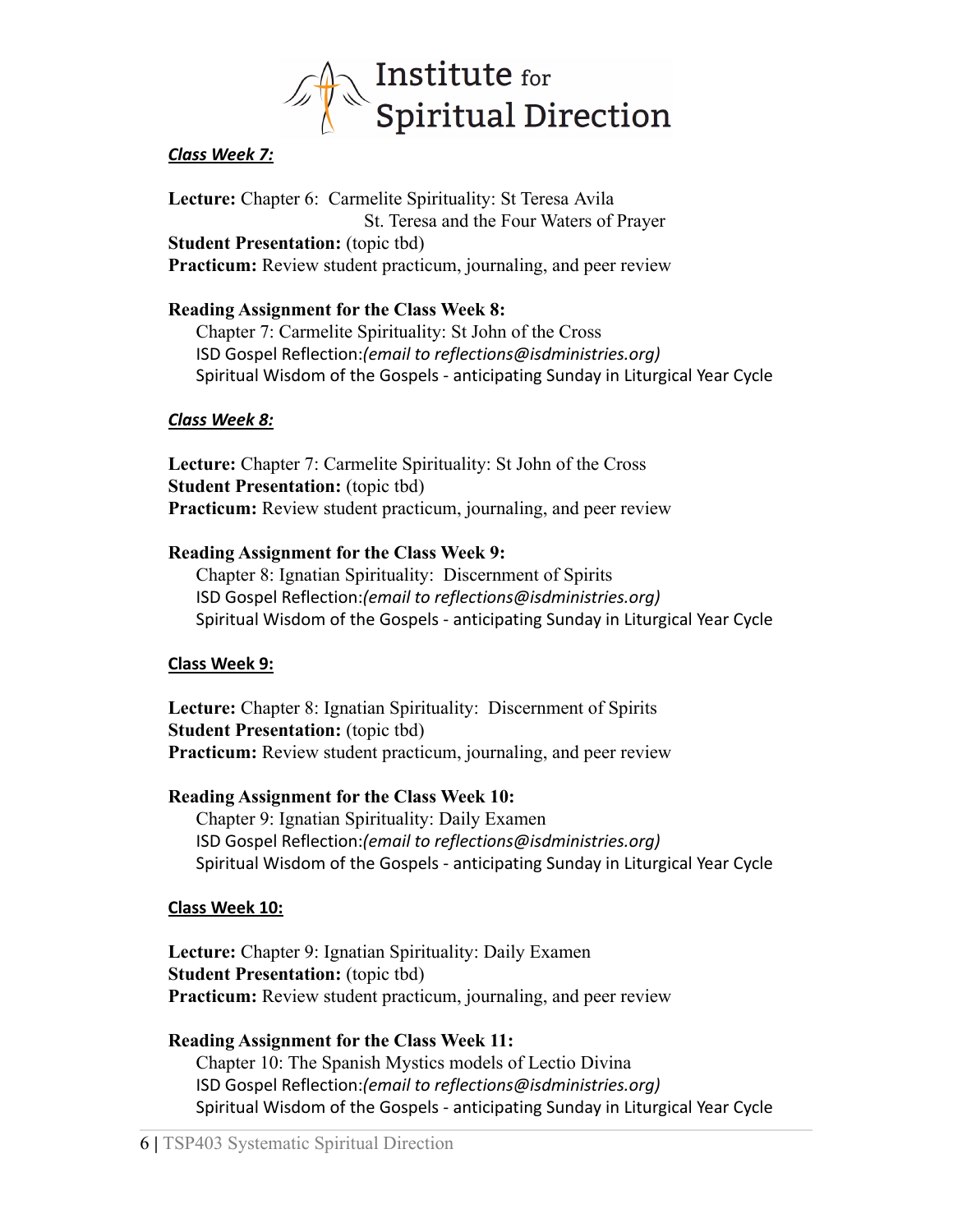

### *Class Week 7:*

**Lecture:** Chapter 6: Carmelite Spirituality: St Teresa Avila St. Teresa and the Four Waters of Prayer **Student Presentation:** (topic tbd) **Practicum:** Review student practicum, journaling, and peer review

### **Reading Assignment for the Class Week 8:**

Chapter 7: Carmelite Spirituality: St John of the Cross ISD Gospel Reflection:*(email to reflections@isdministries.org)* Spiritual Wisdom of the Gospels - anticipating Sunday in Liturgical Year Cycle

#### *Class Week 8:*

**Lecture:** Chapter 7: Carmelite Spirituality: St John of the Cross **Student Presentation:** (topic tbd) **Practicum:** Review student practicum, journaling, and peer review

#### **Reading Assignment for the Class Week 9:**

Chapter 8: Ignatian Spirituality: Discernment of Spirits ISD Gospel Reflection:*(email to reflections@isdministries.org)* Spiritual Wisdom of the Gospels - anticipating Sunday in Liturgical Year Cycle

#### **Class Week 9:**

**Lecture:** Chapter 8: Ignatian Spirituality: Discernment of Spirits **Student Presentation:** (topic tbd) **Practicum:** Review student practicum, journaling, and peer review

#### **Reading Assignment for the Class Week 10:**

Chapter 9: Ignatian Spirituality: Daily Examen ISD Gospel Reflection:*(email to reflections@isdministries.org)* Spiritual Wisdom of the Gospels - anticipating Sunday in Liturgical Year Cycle

#### **Class Week 10:**

**Lecture:** Chapter 9: Ignatian Spirituality: Daily Examen **Student Presentation:** (topic tbd) **Practicum:** Review student practicum, journaling, and peer review

**Reading Assignment for the Class Week 11:** Chapter 10: The Spanish Mystics models of Lectio Divina ISD Gospel Reflection:*(email to reflections@isdministries.org)* Spiritual Wisdom of the Gospels - anticipating Sunday in Liturgical Year Cycle